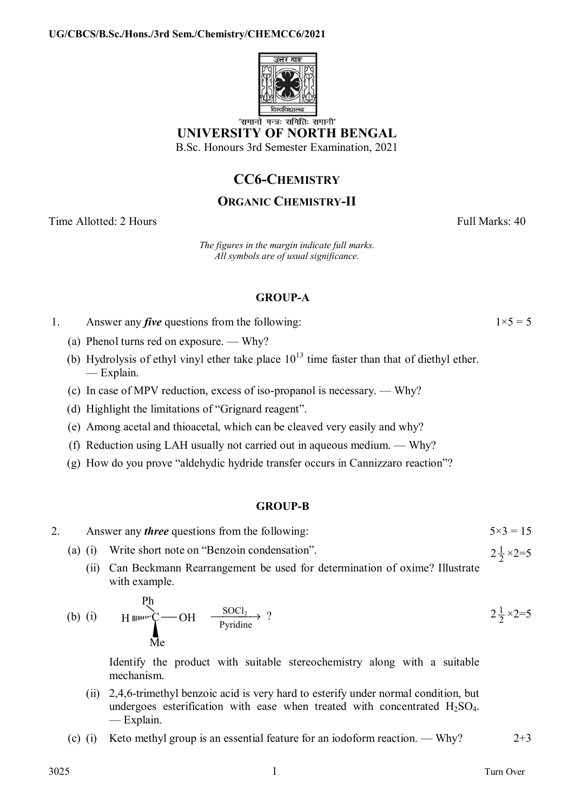

'समानो मन्त्रः समितिः समानी' **UNIVERSITY OF NORTH BENGAL** 

B.Sc. Honours 3rd Semester Examination, 2021

# **CC6-CHEMISTRY**

## **ORGANIC CHEMISTRY-II**

Time Allotted: 2 Hours Full Marks: 40

*The figures in the margin indicate full marks. All symbols are of usual significance.*

### **GROUP-A**

- 1. Answer any *five* questions from the following:  $1 \times 5 = 5$ 
	- (a) Phenol turns red on exposure. Why?
	- (b) Hydrolysis of ethyl vinyl ether take place  $10^{13}$  time faster than that of diethyl ether. — Explain.
	- (c) In case of MPV reduction, excess of iso-propanol is necessary. Why?
	- (d) Highlight the limitations of "Grignard reagent".
	- (e) Among acetal and thioacetal, which can be cleaved very easily and why?
	- (f) Reduction using LAH usually not carried out in aqueous medium. Why?
	- (g) How do you prove "aldehydic hydride transfer occurs in Cannizzaro reaction"?

### **GROUP-B**

- 2. Answer any *three* questions from the following:  $5 \times 3 = 15$ 
	- (a) (i) Write short note on "Benzoin condensation".

 $\mathbf{r}$ 

(ii) Can Beckmann Rearrangement be used for determination of oxime? Illustrate with example.

(b) (i) 
$$
H \xrightarrow{\text{H}} \text{CH}
$$
  $\xrightarrow{\text{SOC}_2} \text{Pyridine}$  ?  $2\frac{1}{2} \times 2=5$ 

 Identify the product with suitable stereochemistry along with a suitable mechanism.

- (ii) 2,4,6-trimethyl benzoic acid is very hard to esterify under normal condition, but undergoes esterification with ease when treated with concentrated  $H_2SO_4$ . — Explain.
- (c) (i) Keto methyl group is an essential feature for an iodoform reaction. Why?  $2+3$

 $2\frac{1}{2} \times 2 = 5$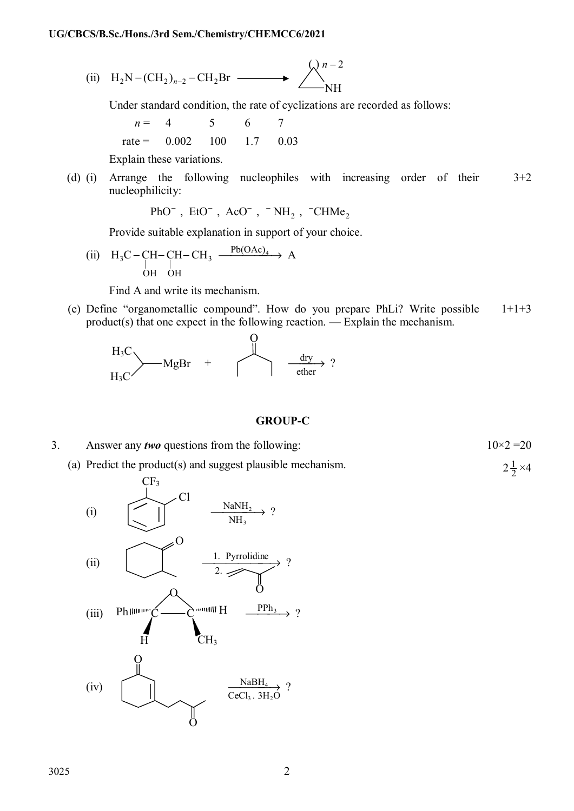(ii) 
$$
H_2N-(CH_2)_{n-2}-CH_2Br \longrightarrow \bigotimes_{NH}^{n-2}
$$

Under standard condition, the rate of cyclizations are recorded as follows:

$$
n = 4 \t 5 \t 6 \t 7
$$
  
rate = 0.002 \t 100 \t 1.7 \t 0.03

Explain these variations.

(d) (i) Arrange the following nucleophiles with increasing order of their nucleophilicity:  $3+2$ 

PhO<sup>-</sup>, EtO<sup>-</sup>, AcO<sup>-</sup>, <sup>-</sup>NH<sub>2</sub>, <sup>-</sup>CHMe<sub>2</sub>

Provide suitable explanation in support of your choice.

(ii)  $H_3C-CH-CH-CH_3 \xrightarrow{Pb(OAc)_4} A$ OH OH  $_{3}C - CH - CH - CH_{3} \xrightarrow{\text{10(ORC)}_{4}}$ 

Find A and write its mechanism.

(e) Define "organometallic compound". How do you prepare PhLi? Write possible product(s) that one expect in the following reaction. — Explain the mechanism.  $1+1+3$ 



#### **GROUP-C**

 $2\frac{1}{2} \times 4$ 

3. Answer any *two* questions from the following:  $10 \times 2 = 20$ 

(a) Predict the product(s) and suggest plausible mechanism.